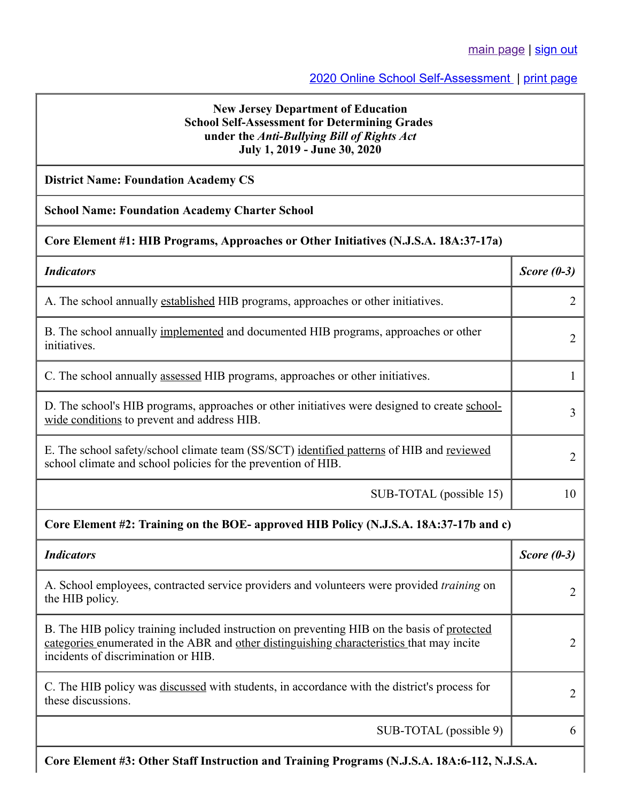## [2020 Online School Self-Assessment](https://homeroom5.doe.state.nj.us/abrs/2020/) | [print page](javascript:window.print())

### **New Jersey Department of Education School Self-Assessment for Determining Grades under the** *Anti-Bullying Bill of Rights Act* **July 1, 2019 - June 30, 2020**

## **District Name: Foundation Academy CS**

#### **School Name: Foundation Academy Charter School**

#### **Core Element #1: HIB Programs, Approaches or Other Initiatives (N.J.S.A. 18A:37-17a)**

| <b>Indicators</b>                                                                                                                                                                                                               | Score $(0-3)$  |  |
|---------------------------------------------------------------------------------------------------------------------------------------------------------------------------------------------------------------------------------|----------------|--|
| A. The school annually established HIB programs, approaches or other initiatives.                                                                                                                                               | 2              |  |
| B. The school annually implemented and documented HIB programs, approaches or other<br>initiatives.                                                                                                                             | $\overline{2}$ |  |
| C. The school annually assessed HIB programs, approaches or other initiatives.                                                                                                                                                  | 1              |  |
| D. The school's HIB programs, approaches or other initiatives were designed to create school-<br>wide conditions to prevent and address HIB.                                                                                    | 3              |  |
| E. The school safety/school climate team (SS/SCT) identified patterns of HIB and reviewed<br>school climate and school policies for the prevention of HIB.                                                                      | $\overline{2}$ |  |
| SUB-TOTAL (possible 15)                                                                                                                                                                                                         | 10             |  |
| Core Element #2: Training on the BOE- approved HIB Policy (N.J.S.A. 18A:37-17b and c)                                                                                                                                           |                |  |
| <b>Indicators</b>                                                                                                                                                                                                               | Score $(0-3)$  |  |
| A. School employees, contracted service providers and volunteers were provided <i>training</i> on<br>the HIB policy.                                                                                                            | $\overline{2}$ |  |
| B. The HIB policy training included instruction on preventing HIB on the basis of protected<br>categories enumerated in the ABR and other distinguishing characteristics that may incite<br>incidents of discrimination or HIB. | $\overline{2}$ |  |
| C. The HIB policy was discussed with students, in accordance with the district's process for<br>these discussions.                                                                                                              | $\overline{2}$ |  |

SUB-TOTAL (possible 9) | 6

**Core Element #3: Other Staff Instruction and Training Programs (N.J.S.A. 18A:6-112, N.J.S.A.**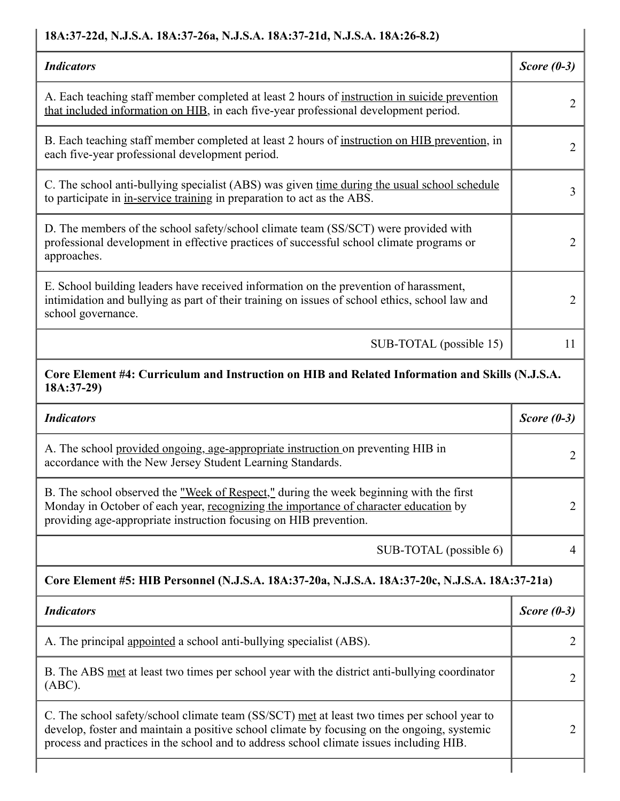## **18A:37-22d, N.J.S.A. 18A:37-26a, N.J.S.A. 18A:37-21d, N.J.S.A. 18A:26-8.2)**

| <b>Indicators</b>                                                                                                                                                                                             | Score $(0-3)$ |
|---------------------------------------------------------------------------------------------------------------------------------------------------------------------------------------------------------------|---------------|
| A. Each teaching staff member completed at least 2 hours of instruction in suicide prevention<br>that included information on HIB, in each five-year professional development period.                         |               |
| B. Each teaching staff member completed at least 2 hours of instruction on HIB prevention, in<br>each five-year professional development period.                                                              | 2             |
| C. The school anti-bullying specialist (ABS) was given time during the usual school schedule<br>to participate in in-service training in preparation to act as the ABS.                                       | 3             |
| D. The members of the school safety/school climate team (SS/SCT) were provided with<br>professional development in effective practices of successful school climate programs or<br>approaches.                |               |
| E. School building leaders have received information on the prevention of harassment,<br>intimidation and bullying as part of their training on issues of school ethics, school law and<br>school governance. |               |
| SUB-TOTAL (possible 15)                                                                                                                                                                                       | 11            |

# **Core Element #4: Curriculum and Instruction on HIB and Related Information and Skills (N.J.S.A. 18A:37-29)**

| <b>Indicators</b>                                                                                                                                                                                                                                                                     | Score $(0-3)$  |  |
|---------------------------------------------------------------------------------------------------------------------------------------------------------------------------------------------------------------------------------------------------------------------------------------|----------------|--|
| A. The school provided ongoing, age-appropriate instruction on preventing HIB in<br>accordance with the New Jersey Student Learning Standards.                                                                                                                                        | $\overline{2}$ |  |
| B. The school observed the <u>"Week of Respect,"</u> during the week beginning with the first<br>Monday in October of each year, recognizing the importance of character education by<br>providing age-appropriate instruction focusing on HIB prevention.                            | $\overline{2}$ |  |
| SUB-TOTAL (possible 6)                                                                                                                                                                                                                                                                | 4              |  |
| Core Element #5: HIB Personnel (N.J.S.A. 18A:37-20a, N.J.S.A. 18A:37-20c, N.J.S.A. 18A:37-21a)                                                                                                                                                                                        |                |  |
| <b>Indicators</b>                                                                                                                                                                                                                                                                     |                |  |
|                                                                                                                                                                                                                                                                                       | Score $(0-3)$  |  |
| A. The principal appointed a school anti-bullying specialist (ABS).                                                                                                                                                                                                                   | $\overline{2}$ |  |
| B. The ABS met at least two times per school year with the district anti-bullying coordinator<br>(ABC).                                                                                                                                                                               | 2              |  |
| C. The school safety/school climate team (SS/SCT) met at least two times per school year to<br>develop, foster and maintain a positive school climate by focusing on the ongoing, systemic<br>process and practices in the school and to address school climate issues including HIB. | 2              |  |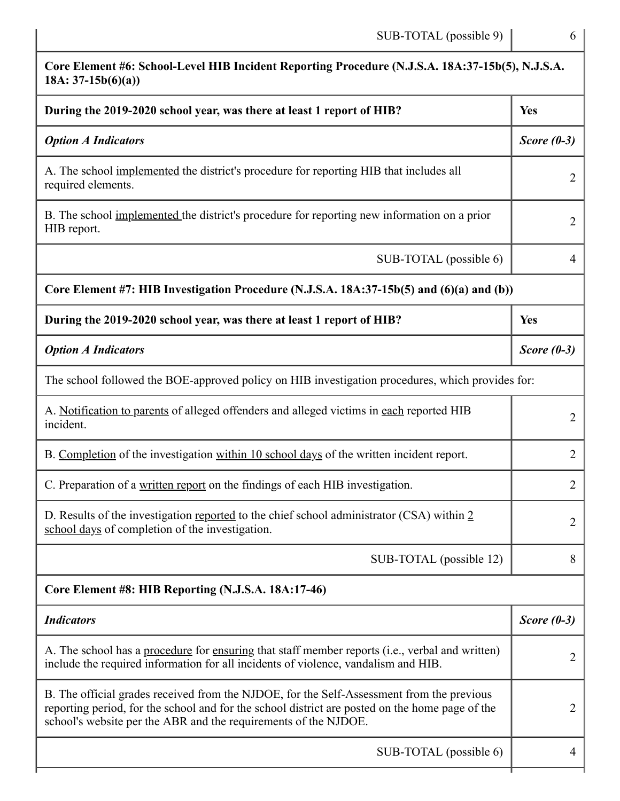| Core Element #6: School-Level HIB Incident Reporting Procedure (N.J.S.A. 18A:37-15b(5), N.J.S.A.<br>$18A: 37-15b(6)(a))$                                                                                                                                        |                |
|-----------------------------------------------------------------------------------------------------------------------------------------------------------------------------------------------------------------------------------------------------------------|----------------|
| During the 2019-2020 school year, was there at least 1 report of HIB?                                                                                                                                                                                           | <b>Yes</b>     |
| <b>Option A Indicators</b>                                                                                                                                                                                                                                      | Score $(0-3)$  |
| A. The school implemented the district's procedure for reporting HIB that includes all<br>required elements.                                                                                                                                                    | $\overline{2}$ |
| B. The school implemented the district's procedure for reporting new information on a prior<br>HIB report.                                                                                                                                                      | $\overline{2}$ |
| SUB-TOTAL (possible 6)                                                                                                                                                                                                                                          | $\overline{4}$ |
| Core Element #7: HIB Investigation Procedure (N.J.S.A. 18A:37-15b(5) and (6)(a) and (b))                                                                                                                                                                        |                |
| During the 2019-2020 school year, was there at least 1 report of HIB?                                                                                                                                                                                           | <b>Yes</b>     |
| <b>Option A Indicators</b>                                                                                                                                                                                                                                      | Score $(0-3)$  |
| The school followed the BOE-approved policy on HIB investigation procedures, which provides for:                                                                                                                                                                |                |
| A. Notification to parents of alleged offenders and alleged victims in each reported HIB<br>incident.                                                                                                                                                           | $\overline{2}$ |
| B. Completion of the investigation within 10 school days of the written incident report.                                                                                                                                                                        | $\overline{2}$ |
| C. Preparation of a written report on the findings of each HIB investigation.                                                                                                                                                                                   | $\overline{2}$ |
| D. Results of the investigation reported to the chief school administrator (CSA) within 2<br>school days of completion of the investigation.                                                                                                                    | $\overline{2}$ |
| SUB-TOTAL (possible 12)                                                                                                                                                                                                                                         | 8              |
| Core Element #8: HIB Reporting (N.J.S.A. 18A:17-46)                                                                                                                                                                                                             |                |
| <b>Indicators</b>                                                                                                                                                                                                                                               | Score $(0-3)$  |
| A. The school has a procedure for ensuring that staff member reports (i.e., verbal and written)<br>include the required information for all incidents of violence, vandalism and HIB.                                                                           | 2              |
| B. The official grades received from the NJDOE, for the Self-Assessment from the previous<br>reporting period, for the school and for the school district are posted on the home page of the<br>school's website per the ABR and the requirements of the NJDOE. | $\overline{2}$ |
| SUB-TOTAL (possible 6)                                                                                                                                                                                                                                          | 4              |
|                                                                                                                                                                                                                                                                 |                |